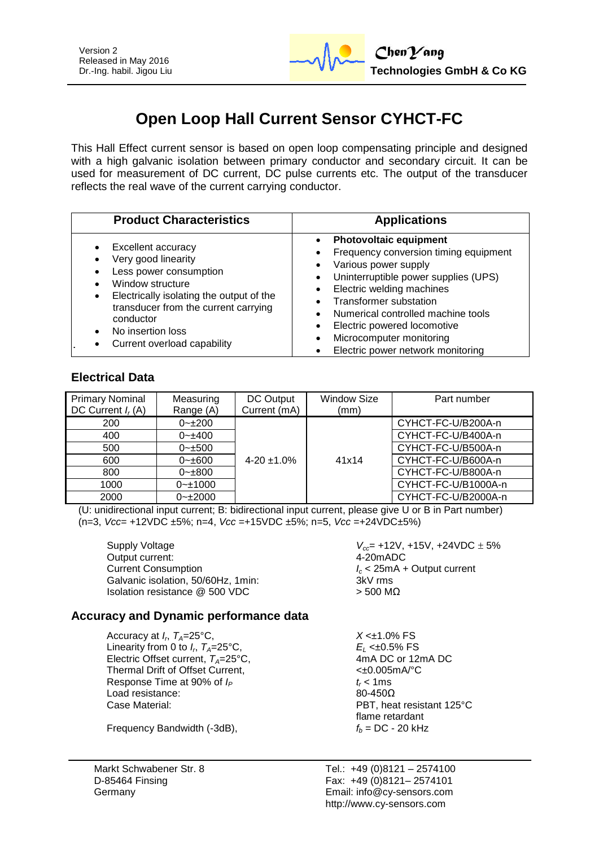

# **Open Loop Hall Current Sensor CYHCT-FC**

This Hall Effect current sensor is based on open loop compensating principle and designed with a high galvanic isolation between primary conductor and secondary circuit. It can be used for measurement of DC current, DC pulse currents etc. The output of the transducer reflects the real wave of the current carrying conductor.

| <b>Product Characteristics</b>                                                                                                                                                                                                                    | <b>Applications</b>                                                                                                                                                                                                                                                                                                                        |
|---------------------------------------------------------------------------------------------------------------------------------------------------------------------------------------------------------------------------------------------------|--------------------------------------------------------------------------------------------------------------------------------------------------------------------------------------------------------------------------------------------------------------------------------------------------------------------------------------------|
| Excellent accuracy<br>Very good linearity<br>Less power consumption<br>Window structure<br>Electrically isolating the output of the<br>٠<br>transducer from the current carrying<br>conductor<br>No insertion loss<br>Current overload capability | <b>Photovoltaic equipment</b><br>Frequency conversion timing equipment<br>Various power supply<br>Uninterruptible power supplies (UPS)<br>Electric welding machines<br><b>Transformer substation</b><br>Numerical controlled machine tools<br>Electric powered locomotive<br>Microcomputer monitoring<br>Electric power network monitoring |

## **Electrical Data**

| <b>Primary Nominal</b><br>DC Current $I_r(A)$ | Measuring<br>Range (A) | DC Output<br>Current (mA) | <b>Window Size</b><br>(mm) | Part number         |
|-----------------------------------------------|------------------------|---------------------------|----------------------------|---------------------|
| 200                                           | $0 - 1200$             |                           |                            | CYHCT-FC-U/B200A-n  |
| 400                                           | $0 - 400$              |                           |                            | CYHCT-FC-U/B400A-n  |
| 500                                           | $0 - 500$              |                           |                            | CYHCT-FC-U/B500A-n  |
| 600                                           | $0 - \pm 600$          | $4 - 20 \pm 1.0\%$        | 41x14                      | CYHCT-FC-U/B600A-n  |
| 800                                           | $0 - \pm 800$          |                           |                            | CYHCT-FC-U/B800A-n  |
| 1000                                          | $0 - 1000$             |                           |                            | CYHCT-FC-U/B1000A-n |
| 2000                                          | $0 - 2000$             |                           |                            | CYHCT-FC-U/B2000A-n |

(U: unidirectional input current; B: bidirectional input current, please give U or B in Part number) (n=3, *Vcc*= +12VDC ±5%; n=4, *Vcc* =+15VDC ±5%; n=5, *Vcc* =+24VDC±5%)

Output current: Current Consumption<br>
Galvanic isolation. 50/60Hz. 1min:<br>
Galvanic isolation. 50/60Hz. 1min:<br> **I** 3kV rms Galvanic isolation, 50/60Hz, 1min: Isolation resistance  $@$  500 VDC  $>$  500 MΩ

Supply Voltage *V*<sub>cc</sub>= +12V, +15V, +24VDC  $\pm$  5% Output current:

#### **Accuracy and Dynamic performance data**

Accuracy at  $I_r$ ,  $T_A=25^{\circ}$ C, Linearity from 0 to  $I_r$ ,  $T_A = 25^\circ \text{C}$ , Electric Offset current,  $T_A = 25^{\circ}C$ , Thermal Drift of Offset Current,  $\leftarrow 0.005 \text{mA}^{\circ}\text{C}$ Response Time at 90% of  $I_P$   $t_r < 1$  ms Load resistance: 80-450Ω Case Material: PBT, heat resistant 125°C

Frequency Bandwidth  $(-3dB)$ ,  $f_b = DC - 20 kHz$ 

Markt Schwabener Str. 8 D-85464 Finsing Germany

 $X < +1.0\%$  FS E<sub>L</sub> <±0.5% FS<br>4mA DC or 12mA DC flame retardant

Tel.: +49 (0)8121 – 2574100 Fax: +49 (0)8121– 2574101 Email: info@cy-sensors.com http://www.cy-sensors.com